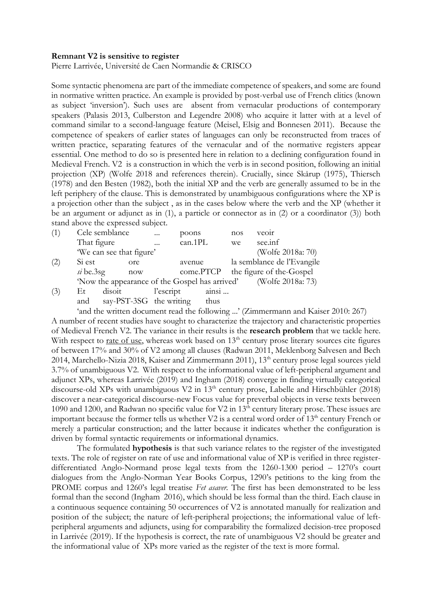## **Remnant V2 is sensitive to register**

Pierre Larrivée, Université de Caen Normandie & CRISCO

Some syntactic phenomena are part of the immediate competence of speakers, and some are found in normative written practice. An example is provided by post-verbal use of French clitics (known as subject 'inversion'). Such uses are absent from vernacular productions of contemporary speakers (Palasis 2013, Culberston and Legendre 2008) who acquire it latter with at a level of command similar to a second-language feature (Meisel, Elsig and Bonnesen 2011). Because the competence of speakers of earlier states of languages can only be reconstructed from traces of written practice, separating features of the vernacular and of the normative registers appear essential. One method to do so is presented here in relation to a declining configuration found in Medieval French. V2 is a construction in which the verb is in second position, following an initial projection (XP) (Wolfe 2018 and references therein). Crucially, since Skårup (1975), Thiersch (1978) and den Besten (1982), both the initial XP and the verb are generally assumed to be in the left periphery of the clause. This is demonstrated by unambiguous configurations where the XP is a projection other than the subject , as in the cases below where the verb and the XP (whether it be an argument or adjunct as in (1), a particle or connector as in (2) or a coordinator (3)) both stand above the expressed subject.

| (1) | Cele semblance                                                                                                                                                                                                                                                                                                       |                | $\cdots$   | poons   |        | nos               | veoir                              |  |
|-----|----------------------------------------------------------------------------------------------------------------------------------------------------------------------------------------------------------------------------------------------------------------------------------------------------------------------|----------------|------------|---------|--------|-------------------|------------------------------------|--|
|     | That figure                                                                                                                                                                                                                                                                                                          |                | $\dddotsc$ | can.1PL |        | we                | see.inf                            |  |
|     | 'We can see that figure'                                                                                                                                                                                                                                                                                             |                |            |         |        | (Wolfe 2018a: 70) |                                    |  |
| (2) | Si est                                                                                                                                                                                                                                                                                                               | <sub>ore</sub> |            |         | avenue |                   | la semblance de l'Evangile         |  |
|     | $si$ be.3sg                                                                                                                                                                                                                                                                                                          | now            |            |         |        |                   | come.PTCP the figure of the-Gospel |  |
|     | 'Now the appearance of the Gospel has arrived' (Wolfe 2018a: 73)                                                                                                                                                                                                                                                     |                |            |         |        |                   |                                    |  |
| (3) | disoit<br>Et.                                                                                                                                                                                                                                                                                                        |                | l'escript  |         | ainsi  |                   |                                    |  |
|     | $1 \quad \text{D}$ $\text{D}$ $\text{D}$ $\text{D}$ $\text{D}$ $\text{D}$ $\text{D}$ $\text{D}$ $\text{D}$ $\text{D}$ $\text{D}$ $\text{D}$ $\text{D}$ $\text{D}$ $\text{D}$ $\text{D}$ $\text{D}$ $\text{D}$ $\text{D}$ $\text{D}$ $\text{D}$ $\text{D}$ $\text{D}$ $\text{D}$ $\text{D}$ $\text{D}$ $\text{D}$ $\$ |                |            |         |        |                   |                                    |  |

and say-PST-3SG the writing thus

'and the written document read the following ...' (Zimmermann and Kaiser 2010: 267)

A number of recent studies have sought to characterize the trajectory and characteristic properties of Medieval French V2. The variance in their results is the **research problem** that we tackle here. With respect to <u>rate of use</u>, whereas work based on  $13<sup>th</sup>$  century prose literary sources cite figures of between 17% and 30% of V2 among all clauses (Radwan 2011, Meklenborg Salvesen and Bech 2014, Marchello-Nizia 2018, Kaiser and Zimmermann 2011), 13<sup>th</sup> century prose legal sources yield 3.7% of unambiguous V2. With respect to the informational value of left-peripheral argument and adjunct XPs, whereas Larrivée (2019) and Ingham (2018) converge in finding virtually categorical discourse-old XPs with unambiguous V2 in 13<sup>th</sup> century prose, Labelle and Hirschbühler (2018) discover a near-categorical discourse-new Focus value for preverbal objects in verse texts between 1090 and 1200, and Radwan no specific value for V2 in 13<sup>th</sup> century literary prose. These issues are important because the former tells us whether  $V2$  is a central word order of  $13<sup>th</sup>$  century French or merely a particular construction; and the latter because it indicates whether the configuration is driven by formal syntactic requirements or informational dynamics.

The formulated **hypothesis** is that such variance relates to the register of the investigated texts. The role of register on rate of use and informational value of XP is verified in three registerdifferentiated Anglo-Normand prose legal texts from the 1260-1300 period – 1270's court dialogues from the Anglo-Norman Year Books Corpus, 1290's petitions to the king from the PROME corpus and 1260's legal treatise *Fet asaver.* The first has been demonstrated to be less formal than the second (Ingham 2016), which should be less formal than the third. Each clause in a continuous sequence containing 50 occurrences of V2 is annotated manually for realization and position of the subject; the nature of left-peripheral projections; the informational value of leftperipheral arguments and adjuncts, using for comparability the formalized decision-tree proposed in Larrivée (2019). If the hypothesis is correct, the rate of unambiguous V2 should be greater and the informational value of XPs more varied as the register of the text is more formal.